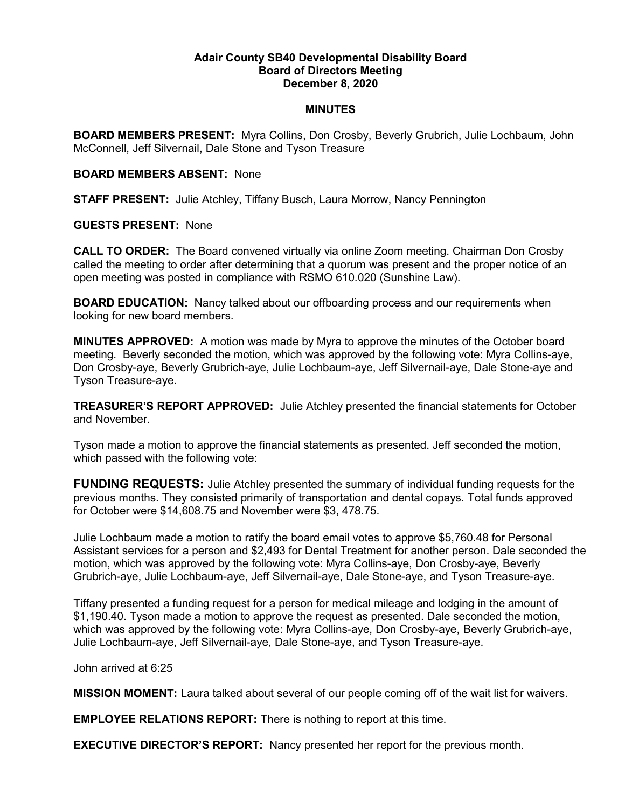## Adair County SB40 Developmental Disability Board Board of Directors Meeting December 8, 2020

## MINUTES

BOARD MEMBERS PRESENT: Myra Collins, Don Crosby, Beverly Grubrich, Julie Lochbaum, John McConnell, Jeff Silvernail, Dale Stone and Tyson Treasure

#### BOARD MEMBERS ABSENT: None

STAFF PRESENT: Julie Atchley, Tiffany Busch, Laura Morrow, Nancy Pennington

## GUESTS PRESENT: None

CALL TO ORDER: The Board convened virtually via online Zoom meeting. Chairman Don Crosby called the meeting to order after determining that a quorum was present and the proper notice of an open meeting was posted in compliance with RSMO 610.020 (Sunshine Law).

BOARD EDUCATION: Nancy talked about our offboarding process and our requirements when looking for new board members.

MINUTES APPROVED: A motion was made by Myra to approve the minutes of the October board meeting. Beverly seconded the motion, which was approved by the following vote: Myra Collins-aye, Don Crosby-aye, Beverly Grubrich-aye, Julie Lochbaum-aye, Jeff Silvernail-aye, Dale Stone-aye and Tyson Treasure-aye.

TREASURER'S REPORT APPROVED: Julie Atchley presented the financial statements for October and November.

Tyson made a motion to approve the financial statements as presented. Jeff seconded the motion, which passed with the following vote:

FUNDING REQUESTS: Julie Atchley presented the summary of individual funding requests for the previous months. They consisted primarily of transportation and dental copays. Total funds approved for October were \$14,608.75 and November were \$3, 478.75.

Julie Lochbaum made a motion to ratify the board email votes to approve \$5,760.48 for Personal Assistant services for a person and \$2,493 for Dental Treatment for another person. Dale seconded the motion, which was approved by the following vote: Myra Collins-aye, Don Crosby-aye, Beverly Grubrich-aye, Julie Lochbaum-aye, Jeff Silvernail-aye, Dale Stone-aye, and Tyson Treasure-aye.

Tiffany presented a funding request for a person for medical mileage and lodging in the amount of \$1,190.40. Tyson made a motion to approve the request as presented. Dale seconded the motion, which was approved by the following vote: Myra Collins-aye, Don Crosby-aye, Beverly Grubrich-aye, Julie Lochbaum-aye, Jeff Silvernail-aye, Dale Stone-aye, and Tyson Treasure-aye.

John arrived at 6:25

MISSION MOMENT: Laura talked about several of our people coming off of the wait list for waivers.

EMPLOYEE RELATIONS REPORT: There is nothing to report at this time.

EXECUTIVE DIRECTOR'S REPORT: Nancy presented her report for the previous month.